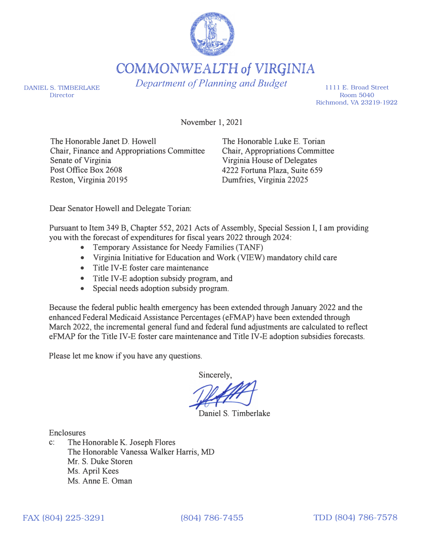

COMMONWEALTH of VIRGINIA

*Department of Planning and Budget* 

DANIEL S. TIMBERLAKE Director

1111 E. Broad Street Room 5040 Richmond, VA 23219-1922

November 1, 2021

The Honorable Janet D. Howell Chair, Finance and Appropriations Committee Senate of Virginia Post Office Box 2608 Reston, Virginia 20195

The Honorable Luke E. Torian Chair, Appropriations Committee Virginia House of Delegates 4222 Fortuna Plaza, Suite 659 Dumfries, Virginia 22025

Dear Senator Howell and Delegate Torian:

Pursuant to Item 349 B, Chapter 552, 2021 Acts of Assembly, Special Session I, I am providing you with the forecast of expenditures for fiscal years 2022 through 2024:

- Temporary Assistance for Needy Families (TANF)
- Virginia Initiative for Education and Work (VIEW) mandatory child care
- Title IV-E foster care maintenance
- Title IV-E adoption subsidy program, and
- Special needs adoption subsidy program.

Because the federal public health emergency has been extended through January 2022 and the enhanced Federal Medicaid Assistance Percentages (eFMAP) have been extended through March 2022, the incremental general fund and federal fund adjustments are calculated to reflect eFMAP for the Title IV-E foster care maintenance and Title IV-E adoption subsidies forecasts.

Please let me know if you have any questions.

Sincerely,

Daniel S. Timberlake

Enclosures

c: The Honorable K. Joseph Flores The Honorable Vanessa Walker Harris, MD Mr. S. Duke Storen Ms. April Kees Ms. Anne E. Oman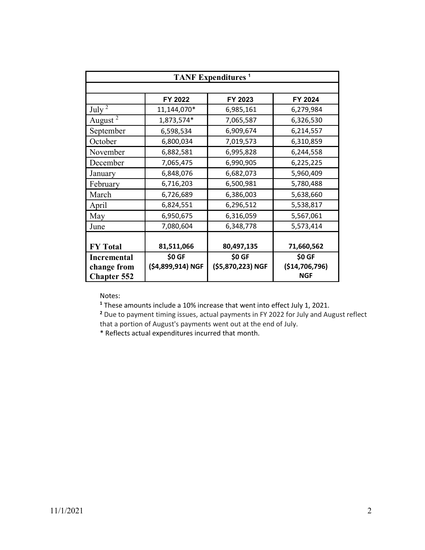| <b>TANF Expenditures</b> <sup>1</sup>                   |                             |                             |                                        |
|---------------------------------------------------------|-----------------------------|-----------------------------|----------------------------------------|
|                                                         |                             |                             |                                        |
|                                                         | FY 2022                     | FY 2023                     | FY 2024                                |
| July $2$                                                | 11,144,070*                 | 6,985,161                   | 6,279,984                              |
| August <sup>2</sup>                                     | 1,873,574*                  | 7,065,587                   | 6,326,530                              |
| September                                               | 6,598,534                   | 6,909,674                   | 6,214,557                              |
| October                                                 | 6,800,034                   | 7,019,573                   | 6,310,859                              |
| November                                                | 6,882,581                   | 6,995,828                   | 6,244,558                              |
| December                                                | 7,065,475                   | 6,990,905                   | 6,225,225                              |
| January                                                 | 6,848,076                   | 6,682,073                   | 5,960,409                              |
| February                                                | 6,716,203                   | 6,500,981                   | 5,780,488                              |
| March                                                   | 6,726,689                   | 6,386,003                   | 5,638,660                              |
| April                                                   | 6,824,551                   | 6,296,512                   | 5,538,817                              |
| May                                                     | 6,950,675                   | 6,316,059                   | 5,567,061                              |
| June                                                    | 7,080,604                   | 6,348,778                   | 5,573,414                              |
|                                                         |                             |                             |                                        |
| <b>FY Total</b>                                         | 81,511,066                  | 80,497,135                  | 71,660,562                             |
| <b>Incremental</b><br>change from<br><b>Chapter 552</b> | \$0 GF<br>(\$4,899,914) NGF | \$0 GF<br>(\$5,870,223) NGF | \$0 GF<br>(\$14,706,796)<br><b>NGF</b> |

**<sup>1</sup>** These amounts include a 10% increase that went into effect July 1, 2021.

**<sup>2</sup>** Due to payment timing issues, actual payments in FY 2022 for July and August reflect that a portion of August's payments went out at the end of July.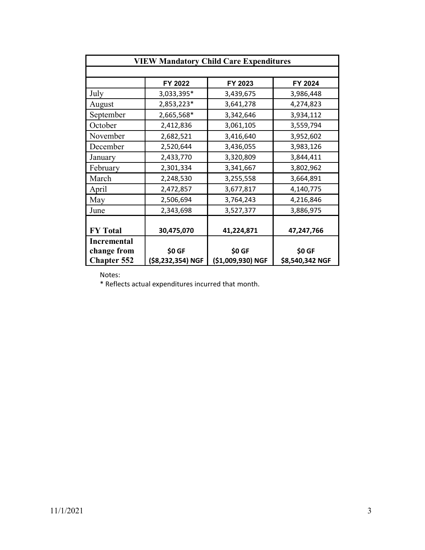| <b>VIEW Mandatory Child Care Expenditures</b> |                   |                   |                 |
|-----------------------------------------------|-------------------|-------------------|-----------------|
|                                               | FY 2022           | FY 2023           | FY 2024         |
| July                                          | 3,033,395*        | 3,439,675         | 3,986,448       |
| August                                        | 2,853,223*        | 3,641,278         | 4,274,823       |
| September                                     | 2,665,568*        | 3,342,646         | 3,934,112       |
| October                                       | 2,412,836         | 3,061,105         | 3,559,794       |
| November                                      | 2,682,521         | 3,416,640         | 3,952,602       |
| December                                      | 2,520,644         | 3,436,055         | 3,983,126       |
| January                                       | 2,433,770         | 3,320,809         | 3,844,411       |
| February                                      | 2,301,334         | 3,341,667         | 3,802,962       |
| March                                         | 2,248,530         | 3,255,558         | 3,664,891       |
| April                                         | 2,472,857         | 3,677,817         | 4,140,775       |
| May                                           | 2,506,694         | 3,764,243         | 4,216,846       |
| June                                          | 2,343,698         | 3,527,377         | 3,886,975       |
| <b>FY Total</b>                               | 30,475,070        | 41,224,871        | 47,247,766      |
| <b>Incremental</b>                            |                   |                   |                 |
| change from                                   | \$0 GF            | \$0 GF            | \$0 GF          |
| <b>Chapter 552</b>                            | (\$8,232,354) NGF | (\$1,009,930) NGF | \$8,540,342 NGF |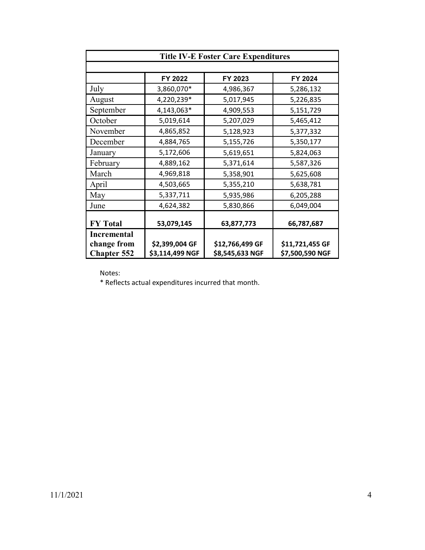| <b>Title IV-E Foster Care Expenditures</b>              |                                   |                                    |                                    |
|---------------------------------------------------------|-----------------------------------|------------------------------------|------------------------------------|
|                                                         | FY 2022                           | FY 2023                            | FY 2024                            |
| July                                                    | 3,860,070*                        | 4,986,367                          | 5,286,132                          |
| August                                                  | 4,220,239*                        | 5,017,945                          | 5,226,835                          |
| September                                               | 4,143,063*                        | 4,909,553                          | 5,151,729                          |
| October                                                 | 5,019,614                         | 5,207,029                          | 5,465,412                          |
| November                                                | 4,865,852                         | 5,128,923                          | 5,377,332                          |
| December                                                | 4,884,765                         | 5,155,726                          | 5,350,177                          |
| January                                                 | 5,172,606                         | 5,619,651                          | 5,824,063                          |
| February                                                | 4,889,162                         | 5,371,614                          | 5,587,326                          |
| March                                                   | 4,969,818                         | 5,358,901                          | 5,625,608                          |
| April                                                   | 4,503,665                         | 5,355,210                          | 5,638,781                          |
| May                                                     | 5,337,711                         | 5,935,986                          | 6,205,288                          |
| June                                                    | 4,624,382                         | 5,830,866                          | 6,049,004                          |
| <b>FY Total</b>                                         | 53,079,145                        | 63,877,773                         | 66,787,687                         |
| <b>Incremental</b><br>change from<br><b>Chapter 552</b> | \$2,399,004 GF<br>\$3,114,499 NGF | \$12,766,499 GF<br>\$8,545,633 NGF | \$11,721,455 GF<br>\$7,500,590 NGF |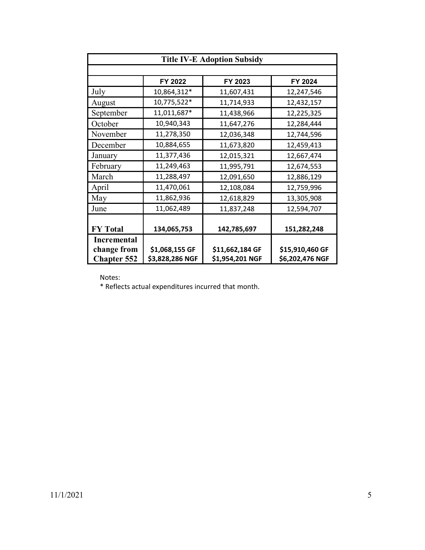| <b>Title IV-E Adoption Subsidy</b> |                 |                 |                 |
|------------------------------------|-----------------|-----------------|-----------------|
|                                    |                 |                 |                 |
|                                    | FY 2022         | FY 2023         | FY 2024         |
| July                               | 10,864,312*     | 11,607,431      | 12,247,546      |
| August                             | 10,775,522*     | 11,714,933      | 12,432,157      |
| September                          | 11,011,687*     | 11,438,966      | 12,225,325      |
| October                            | 10,940,343      | 11,647,276      | 12,284,444      |
| November                           | 11,278,350      | 12,036,348      | 12,744,596      |
| December                           | 10,884,655      | 11,673,820      | 12,459,413      |
| January                            | 11,377,436      | 12,015,321      | 12,667,474      |
| February                           | 11,249,463      | 11,995,791      | 12,674,553      |
| March                              | 11,288,497      | 12,091,650      | 12,886,129      |
| April                              | 11,470,061      | 12,108,084      | 12,759,996      |
| May                                | 11,862,936      | 12,618,829      | 13,305,908      |
| June                               | 11,062,489      | 11,837,248      | 12,594,707      |
|                                    |                 |                 |                 |
| <b>FY Total</b>                    | 134,065,753     | 142,785,697     | 151,282,248     |
| <b>Incremental</b>                 |                 |                 |                 |
| change from                        | \$1,068,155 GF  | \$11,662,184 GF | \$15,910,460 GF |
| <b>Chapter 552</b>                 | \$3,828,286 NGF | \$1,954,201 NGF | \$6,202,476 NGF |